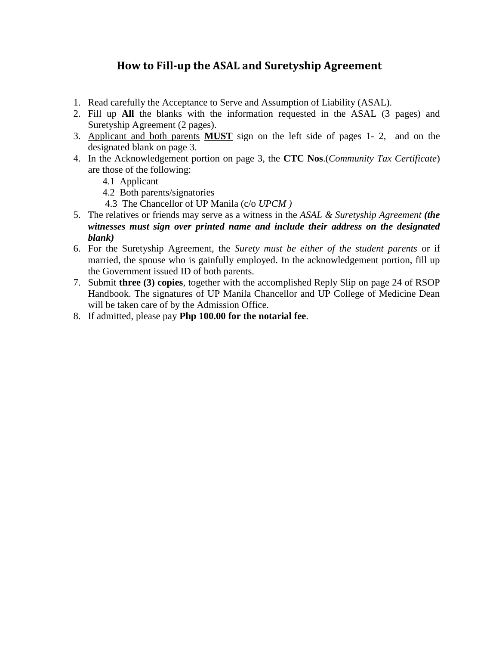# **How to Fill-up the ASAL and Suretyship Agreement**

- 1. Read carefully the Acceptance to Serve and Assumption of Liability (ASAL).
- 2. Fill up **All** the blanks with the information requested in the ASAL (3 pages) and Suretyship Agreement (2 pages).
- 3. Applicant and both parents **MUST** sign on the left side of pages 1- 2, and on the designated blank on page 3.
- 4. In the Acknowledgement portion on page 3, the **CTC Nos**.(*Community Tax Certificate*) are those of the following:
	- 4.1 Applicant
	- 4.2 Both parents/signatories
	- 4.3 The Chancellor of UP Manila (c/o *UPCM )*
- 5. The relatives or friends may serve as a witness in the *ASAL & Suretyship Agreement (the witnesses must sign over printed name and include their address on the designated blank)*
- 6. For the Suretyship Agreement, the *Surety must be either of the student parents* or if married, the spouse who is gainfully employed. In the acknowledgement portion, fill up the Government issued ID of both parents.
- 7. Submit **three (3) copies**, together with the accomplished Reply Slip on page 24 of RSOP Handbook. The signatures of UP Manila Chancellor and UP College of Medicine Dean will be taken care of by the Admission Office.
- 8. If admitted, please pay **Php 100.00 for the notarial fee**.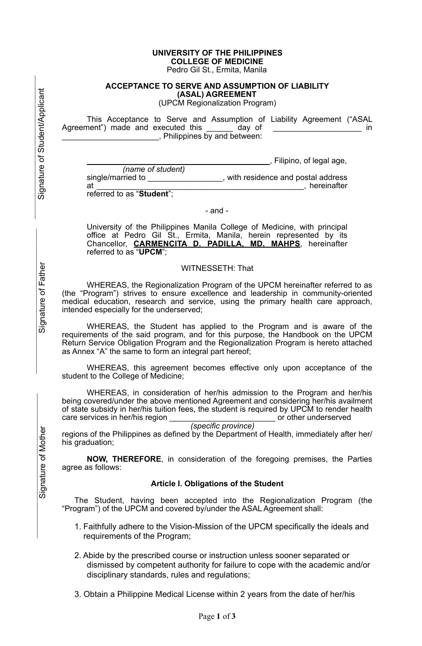## **UNIVERSITY OF THE PHILIPPINES COLLEGE OF MEDICINE**

Pedro Gil St., Ermita, Manila

#### **ACCEPTANCE TO SERVE AND ASSUMPTION OF LIABILITY (ASAL) AGREEMENT**

(UPCM Regionalization Program)

 This Acceptance to Serve and Assumption of Liability Agreement ("ASAL Agreement") made and executed this day of the contract of the contract of the contract of the contract of the contract of the contract of the contract of the contract of the contract of the contract of the contract of the \_\_\_\_\_\_\_\_\_\_\_\_\_\_\_\_\_\_\_\_\_\_, Philippines by and between:

|                   | _, Filipino, of legal age,        |
|-------------------|-----------------------------------|
| (name of student) |                                   |
| single/married to | with residence and postal address |

at \_\_\_\_\_\_\_\_\_\_\_\_\_\_\_\_\_\_\_\_\_\_\_\_\_\_\_\_\_\_\_\_\_\_\_\_\_\_\_\_\_\_\_\_\_\_\_, hereinafter

referred to as "**Student**";

### - and -

University of the Philippines Manila College of Medicine, with principal office at Pedro Gil St., Ermita, Manila, herein represented by its Chancellor, **CARMENCITA D. PADILLA, MD, MAHPS**, hereinafter referred to as "**UPCM**";

### WITNESSETH: That

WHEREAS, the Regionalization Program of the UPCM hereinafter referred to as (the "Program") strives to ensure excellence and leadership in community-oriented medical education, research and service, using the primary health care approach, intended especially for the underserved;

WHEREAS, the Student has applied to the Program and is aware of the requirements of the said program, and for this purpose, the Handbook on the UPCM Return Service Obligation Program and the Regionalization Program is hereto attached as Annex "A" the same to form an integral part hereof;

WHEREAS, this agreement becomes effective only upon acceptance of the student to the College of Medicine;

WHEREAS, in consideration of her/his admission to the Program and her/his being covered/under the above mentioned Agreement and considering her/his availment of state subsidy in her/his tuition fees, the student is required by UPCM to render health care services in her/his region care services in her/his region \_

 *(specific province)*  regions of the Philippines as defined by the Department of Health, immediately after her/ his graduation;

**NOW, THEREFORE**, in consideration of the foregoing premises, the Parties agree as follows:

## **Article I. Obligations of the Student**

The Student, having been accepted into the Regionalization Program (the "Program") of the UPCM and covered by/under the ASAL Agreement shall:

- 1. Faithfully adhere to the Vision-Mission of the UPCM specifically the ideals and requirements of the Program;
- 2. Abide by the prescribed course or instruction unless sooner separated or dismissed by competent authority for failure to cope with the academic and/or disciplinary standards, rules and regulations;
- 3. Obtain a Philippine Medical License within 2 years from the date of her/his

Signature of Father Signature of Father

 $\mathcal{L}_\text{max}$ 

 $\mathcal{L}_\text{max}$  , and the contract of the contract of the contract of the contract of the contract of the contract of the contract of the contract of the contract of the contract of the contract of the contract of the contr Signature of Student/Applicant

Signature of Student/Applicant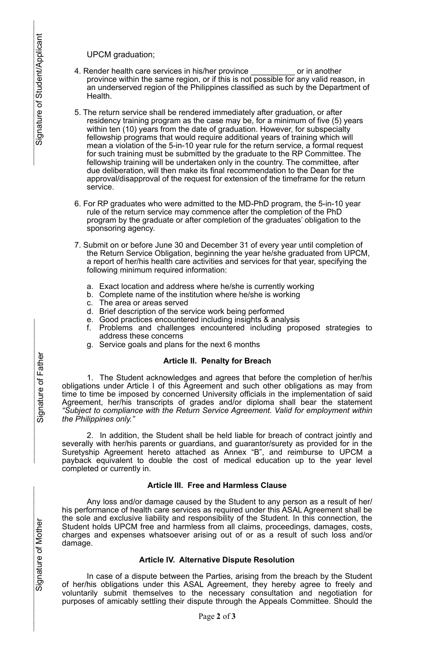UPCM graduation;

- 4. Render health care services in his/her province \_\_\_\_\_\_\_\_\_\_ or in another province within the same region, or if this is not possible for any valid reason, in an underserved region of the Philippines classified as such by the Department of Health.
- 5. The return service shall be rendered immediately after graduation, or after residency training program as the case may be, for a minimum of five (5) years within ten (10) years from the date of graduation. However, for subspecialty fellowship programs that would require additional years of training which will mean a violation of the 5-in-10 year rule for the return service, a formal request for such training must be submitted by the graduate to the RP Committee. The fellowship training will be undertaken only in the country. The committee, after due deliberation, will then make its final recommendation to the Dean for the approval/disapproval of the request for extension of the timeframe for the return service.
- 6. For RP graduates who were admitted to the MD-PhD program, the 5-in-10 year rule of the return service may commence after the completion of the PhD program by the graduate or after completion of the graduates' obligation to the sponsoring agency.
- 7. Submit on or before June 30 and December 31 of every year until completion of the Return Service Obligation, beginning the year he/she graduated from UPCM, a report of her/his health care activities and services for that year, specifying the following minimum required information:
	- a. Exact location and address where he/she is currently working
	- b. Complete name of the institution where he/she is working
	- c. The area or areas served
	- d. Brief description of the service work being performed
	- e. Good practices encountered including insights & analysis
	- f. Problems and challenges encountered including proposed strategies to address these concerns
	- g. Service goals and plans for the next 6 months

#### **Article II. Penalty for Breach**

1. The Student acknowledges and agrees that before the completion of her/his obligations under Article I of this Agreement and such other obligations as may from time to time be imposed by concerned University officials in the implementation of said Agreement, her/his transcripts of grades and/or diploma shall bear the statement *"Subject to compliance with the Return Service Agreement. Valid for employment within the Philippines only."*

2. In addition, the Student shall be held liable for breach of contract jointly and severally with her/his parents or guardians, and guarantor/surety as provided for in the Suretyship Agreement hereto attached as Annex "B", and reimburse to UPCM a payback equivalent to double the cost of medical education up to the year level completed or currently in.

#### **Article III. Free and Harmless Clause**

 Any loss and/or damage caused by the Student to any person as a result of her/ his performance of health care services as required under this ASAL Agreement shall be the sole and exclusive liability and responsibility of the Student. In this connection, the Student holds UPCM free and harmless from all claims, proceedings, damages, costs, charges and expenses whatsoever arising out of or as a result of such loss and/or damage.

## **Article IV. Alternative Dispute Resolution**

 In case of a dispute between the Parties, arising from the breach by the Student of her/his obligations under this ASAL Agreement, they hereby agree to freely and voluntarily submit themselves to the necessary consultation and negotiation for purposes of amicably settling their dispute through the Appeals Committee. Should the

 $\mathcal{L}_\text{max}$ 

 $\mathcal{L}_\text{max}$  , and the contract of the contract of the contract of the contract of the contract of the contract of the contract of the contract of the contract of the contract of the contract of the contract of the contr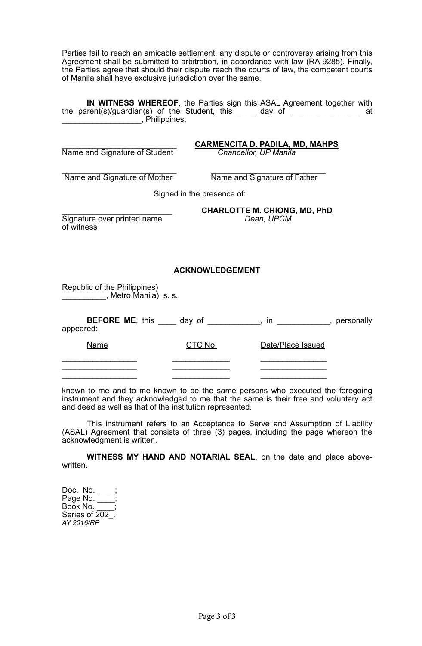Parties fail to reach an amicable settlement, any dispute or controversy arising from this Agreement shall be submitted to arbitration, in accordance with law (RA 9285). Finally, the Parties agree that should their dispute reach the courts of law, the competent courts of Manila shall have exclusive jurisdiction over the same.

**IN WITNESS WHEREOF**, the Parties sign this ASAL Agreement together with the parent(s)/guardian(s) of the Student, this \_\_\_\_ day of \_\_\_\_\_\_\_\_\_\_\_\_\_\_\_\_ at \_\_\_\_\_\_\_\_\_\_\_\_\_\_\_\_\_\_, Philippines.

| Name and Signature of Student                                                              |                        | <u>CARMENCITA D. PADILA, MD, MAHPS</u><br>Chancellor, UP Manila |  |  |
|--------------------------------------------------------------------------------------------|------------------------|-----------------------------------------------------------------|--|--|
| Name and Signature of Mother                                                               |                        | Name and Signature of Father                                    |  |  |
| Signed in the presence of:                                                                 |                        |                                                                 |  |  |
| Signature over printed name<br>of witness                                                  |                        | <b>CHARLOTTE M. CHIONG, MD, PhD</b><br>Dean, UPCM               |  |  |
|                                                                                            | <b>ACKNOWLEDGEMENT</b> |                                                                 |  |  |
| Republic of the Philippines)<br>Metro Manila) s. s.                                        |                        |                                                                 |  |  |
| <b>BEFORE ME</b> , this _____ day of ____________, in ___________, personally<br>appeared: |                        |                                                                 |  |  |
| Name                                                                                       | <u>CTC No.</u>         | Date/Place Issued                                               |  |  |
|                                                                                            |                        |                                                                 |  |  |

known to me and to me known to be the same persons who executed the foregoing instrument and they acknowledged to me that the same is their free and voluntary act and deed as well as that of the institution represented.

 This instrument refers to an Acceptance to Serve and Assumption of Liability (ASAL) Agreement that consists of three (3) pages, including the page whereon the acknowledgment is written.

**WITNESS MY HAND AND NOTARIAL SEAL**, on the date and place abovewritten.

Doc. No.  $\overline{\phantom{a}}$ Page No.  $\overline{\phantom{a}}$ Book No. Series of  $202$ . *AY 2016/RP*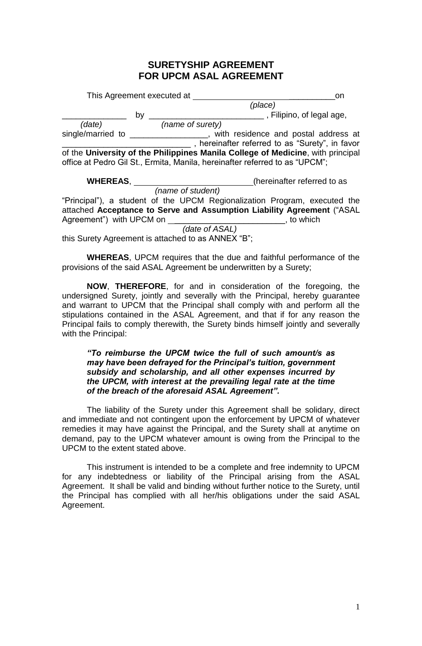## **SURETYSHIP AGREEMENT FOR UPCM ASAL AGREEMENT**

|                                                    | This Agreement executed at |                                                                                 | on |
|----------------------------------------------------|----------------------------|---------------------------------------------------------------------------------|----|
|                                                    |                            | (place)                                                                         |    |
|                                                    | by                         | Filipino, of legal age,                                                         |    |
| (date)                                             | (name of surety)           |                                                                                 |    |
| single/married to                                  |                            | with residence and postal address at                                            |    |
|                                                    |                            | , hereinafter referred to as "Surety", in favor                                 |    |
|                                                    |                            | of the University of the Philippines Manila College of Medicine, with principal |    |
|                                                    |                            | office at Pedro Gil St., Ermita, Manila, hereinafter referred to as "UPCM";     |    |
| <b>WHEREAS,</b>                                    |                            | (hereinafter referred to as                                                     |    |
|                                                    | (name of student)          |                                                                                 |    |
|                                                    |                            | "Principal"), a student of the UPCM Regionalization Program, executed the       |    |
|                                                    |                            | attached Acceptance to Serve and Assumption Liability Agreement ("ASAL          |    |
| Agreement") with UPCM on                           |                            | to which                                                                        |    |
|                                                    |                            | (date of ASAL)                                                                  |    |
| this Surety Agreement is attached to as ANNEX "B"; |                            |                                                                                 |    |

**WHEREAS**, UPCM requires that the due and faithful performance of the provisions of the said ASAL Agreement be underwritten by a Surety;

**NOW**, **THEREFORE**, for and in consideration of the foregoing, the undersigned Surety, jointly and severally with the Principal, hereby guarantee and warrant to UPCM that the Principal shall comply with and perform all the stipulations contained in the ASAL Agreement, and that if for any reason the Principal fails to comply therewith, the Surety binds himself jointly and severally with the Principal:

*"To reimburse the UPCM twice the full of such amount/s as may have been defrayed for the Principal's tuition, government subsidy and scholarship, and all other expenses incurred by the UPCM, with interest at the prevailing legal rate at the time of the breach of the aforesaid ASAL Agreement".*

The liability of the Surety under this Agreement shall be solidary, direct and immediate and not contingent upon the enforcement by UPCM of whatever remedies it may have against the Principal, and the Surety shall at anytime on demand, pay to the UPCM whatever amount is owing from the Principal to the UPCM to the extent stated above.

This instrument is intended to be a complete and free indemnity to UPCM for any indebtedness or liability of the Principal arising from the ASAL Agreement. It shall be valid and binding without further notice to the Surety, until the Principal has complied with all her/his obligations under the said ASAL Agreement.